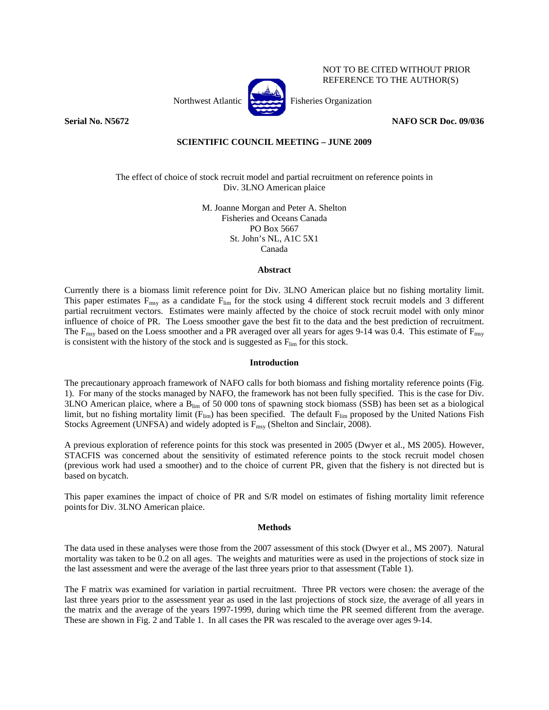

NOT TO BE CITED WITHOUT PRIOR REFERENCE TO THE AUTHOR(S)

**Serial No. N5672 NAFO SCR Doc. 09/036** 

# **SCIENTIFIC COUNCIL MEETING – JUNE 2009**

The effect of choice of stock recruit model and partial recruitment on reference points in Div. 3LNO American plaice

> M. Joanne Morgan and Peter A. Shelton Fisheries and Oceans Canada PO Box 5667 St. John's NL, A1C 5X1 Canada

## **Abstract**

Currently there is a biomass limit reference point for Div. 3LNO American plaice but no fishing mortality limit. This paper estimates  $F_{\text{msy}}$  as a candidate  $F_{\text{lim}}$  for the stock using 4 different stock recruit models and 3 different partial recruitment vectors. Estimates were mainly affected by the choice of stock recruit model with only minor influence of choice of PR. The Loess smoother gave the best fit to the data and the best prediction of recruitment. The  $F_{\text{msy}}$  based on the Loess smoother and a PR averaged over all years for ages 9-14 was 0.4. This estimate of  $F_{\text{msy}}$ is consistent with the history of the stock and is suggested as  $F_{\text{lim}}$  for this stock.

## **Introduction**

The precautionary approach framework of NAFO calls for both biomass and fishing mortality reference points (Fig. 1). For many of the stocks managed by NAFO, the framework has not been fully specified. This is the case for Div. 3LNO American plaice, where a  $B_{lim}$  of 50 000 tons of spawning stock biomass (SSB) has been set as a biological limit, but no fishing mortality limit ( $F_{lim}$ ) has been specified. The default  $F_{lim}$  proposed by the United Nations Fish Stocks Agreement (UNFSA) and widely adopted is  $F_{\text{msy}}$  (Shelton and Sinclair, 2008).

A previous exploration of reference points for this stock was presented in 2005 (Dwyer et al., MS 2005). However, STACFIS was concerned about the sensitivity of estimated reference points to the stock recruit model chosen (previous work had used a smoother) and to the choice of current PR, given that the fishery is not directed but is based on bycatch.

This paper examines the impact of choice of PR and S/R model on estimates of fishing mortality limit reference points for Div. 3LNO American plaice.

## **Methods**

The data used in these analyses were those from the 2007 assessment of this stock (Dwyer et al., MS 2007). Natural mortality was taken to be 0.2 on all ages. The weights and maturities were as used in the projections of stock size in the last assessment and were the average of the last three years prior to that assessment (Table 1).

The F matrix was examined for variation in partial recruitment. Three PR vectors were chosen: the average of the last three years prior to the assessment year as used in the last projections of stock size, the average of all years in the matrix and the average of the years 1997-1999, during which time the PR seemed different from the average. These are shown in Fig. 2 and Table 1. In all cases the PR was rescaled to the average over ages 9-14.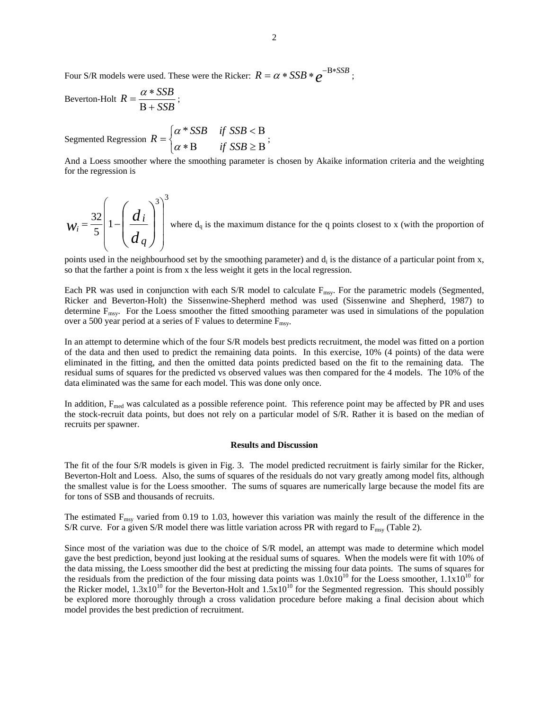Four S/R models were used. These were the Ricker:  $R = \alpha * SSB * e^{-B * SSB}$ ;

$$
Beverton-Holt R = \frac{\alpha * SSB}{B + SSB};
$$

Segmented Regression  $\overline{a}$ ⎨  $\sqrt{2}$  $=\begin{cases} \alpha * SSB & \text{if } SSB < B \\ \alpha * B & \text{if } SSB \geq B \end{cases}$  $R = \begin{cases} 0 \\ \alpha \end{cases}$ <sup>α</sup> \* ;

And a Loess smoother where the smoothing parameter is chosen by Akaike information criteria and the weighting for the regression is

 $3)^3$ 1 5 32  $\overline{\phantom{a}}$  $\overline{\phantom{a}}$  $\overline{\phantom{a}}$  $\overline{\phantom{a}}$ ⎠ ⎞  $\overline{\phantom{a}}$  $\overline{a}$  $\overline{a}$  $\mathsf I$ ⎝  $\big($  $=\frac{32}{5}\left|1-\left(\frac{d_i}{d}\right)\right|$ ⎠ ⎞  $\overline{a}$  $\mathsf{L}$ ⎝  $\sqrt{}$ *d d w q*  $\mathcal{L}_i = \frac{32}{5} \left| 1 - \frac{d_i}{l} \right|$  where  $d_q$  is the maximum distance for the q points closest to x (with the proportion of

points used in the neighbourhood set by the smoothing parameter) and  $d_i$  is the distance of a particular point from x, so that the farther a point is from x the less weight it gets in the local regression.

Each PR was used in conjunction with each S/R model to calculate  $F_{\text{msy}}$ . For the parametric models (Segmented, Ricker and Beverton-Holt) the Sissenwine-Shepherd method was used (Sissenwine and Shepherd, 1987) to determine Fmsy. For the Loess smoother the fitted smoothing parameter was used in simulations of the population over a 500 year period at a series of F values to determine  $F_{\text{msy}}$ .

In an attempt to determine which of the four S/R models best predicts recruitment, the model was fitted on a portion of the data and then used to predict the remaining data points. In this exercise, 10% (4 points) of the data were eliminated in the fitting, and then the omitted data points predicted based on the fit to the remaining data. The residual sums of squares for the predicted vs observed values was then compared for the 4 models. The 10% of the data eliminated was the same for each model. This was done only once.

In addition, F<sub>med</sub> was calculated as a possible reference point. This reference point may be affected by PR and uses the stock-recruit data points, but does not rely on a particular model of S/R. Rather it is based on the median of recruits per spawner.

#### **Results and Discussion**

The fit of the four S/R models is given in Fig. 3. The model predicted recruitment is fairly similar for the Ricker, Beverton-Holt and Loess. Also, the sums of squares of the residuals do not vary greatly among model fits, although the smallest value is for the Loess smoother. The sums of squares are numerically large because the model fits are for tons of SSB and thousands of recruits.

The estimated  $F_{\text{msy}}$  varied from 0.19 to 1.03, however this variation was mainly the result of the difference in the S/R curve. For a given S/R model there was little variation across PR with regard to  $F_{\text{msy}}$  (Table 2).

Since most of the variation was due to the choice of S/R model, an attempt was made to determine which model gave the best prediction, beyond just looking at the residual sums of squares. When the models were fit with 10% of the data missing, the Loess smoother did the best at predicting the missing four data points. The sums of squares for the residuals from the prediction of the four missing data points was  $1.0x10^{10}$  for the Loess smoother,  $1.1x10^{10}$  for the Ricker model,  $1.3x10^{10}$  for the Beverton-Holt and  $1.5x10^{10}$  for the Segmented regression. This should possibly be explored more thoroughly through a cross validation procedure before making a final decision about which model provides the best prediction of recruitment.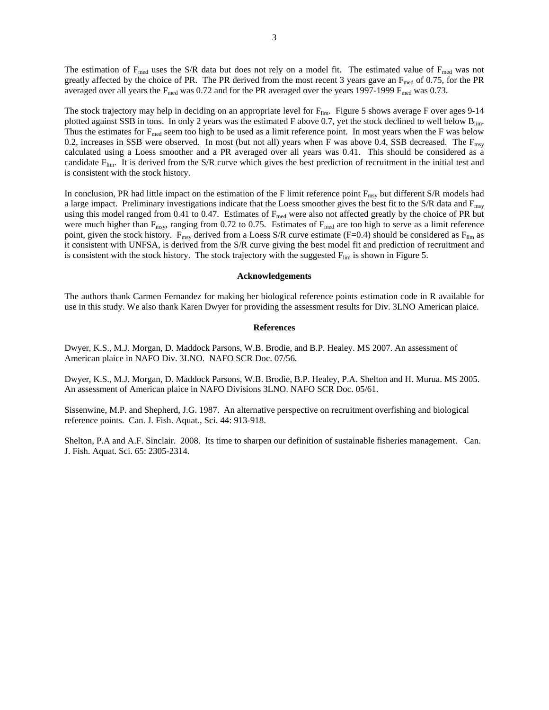The estimation of  $F_{\text{med}}$  uses the S/R data but does not rely on a model fit. The estimated value of  $F_{\text{med}}$  was not greatly affected by the choice of PR. The PR derived from the most recent 3 years gave an  $F_{\text{med}}$  of 0.75, for the PR averaged over all years the  $F_{med}$  was 0.72 and for the PR averaged over the years 1997-1999  $F_{med}$  was 0.73.

The stock trajectory may help in deciding on an appropriate level for  $F_{\text{lim}}$ . Figure 5 shows average F over ages 9-14 plotted against SSB in tons. In only 2 years was the estimated F above 0.7, yet the stock declined to well below B<sub>lim</sub>. Thus the estimates for  $F_{\text{med}}$  seem too high to be used as a limit reference point. In most years when the F was below 0.2, increases in SSB were observed. In most (but not all) years when F was above 0.4, SSB decreased. The  $F_{\text{msy}}$ calculated using a Loess smoother and a PR averaged over all years was 0.41. This should be considered as a candidate  $F_{\text{lim}}$ . It is derived from the S/R curve which gives the best prediction of recruitment in the initial test and is consistent with the stock history.

In conclusion, PR had little impact on the estimation of the F limit reference point  $F_{\text{msy}}$  but different S/R models had a large impact. Preliminary investigations indicate that the Loess smoother gives the best fit to the  $S/R$  data and  $F_{\text{msy}}$ using this model ranged from 0.41 to 0.47. Estimates of  $F_{med}$  were also not affected greatly by the choice of PR but were much higher than  $F_{\text{msy}}$ , ranging from 0.72 to 0.75. Estimates of  $F_{\text{med}}$  are too high to serve as a limit reference point, given the stock history.  $F_{\text{msy}}$  derived from a Loess S/R curve estimate (F=0.4) should be considered as  $F_{\text{lim}}$  as it consistent with UNFSA, is derived from the S/R curve giving the best model fit and prediction of recruitment and is consistent with the stock history. The stock trajectory with the suggested  $F_{\text{lim}}$  is shown in Figure 5.

#### **Acknowledgements**

The authors thank Carmen Fernandez for making her biological reference points estimation code in R available for use in this study. We also thank Karen Dwyer for providing the assessment results for Div. 3LNO American plaice.

#### **References**

Dwyer, K.S., M.J. Morgan, D. Maddock Parsons, W.B. Brodie, and B.P. Healey. MS 2007. An assessment of American plaice in NAFO Div. 3LNO. NAFO SCR Doc. 07/56.

Dwyer, K.S., M.J. Morgan, D. Maddock Parsons, W.B. Brodie, B.P. Healey, P.A. Shelton and H. Murua. MS 2005. An assessment of American plaice in NAFO Divisions 3LNO. NAFO SCR Doc. 05/61.

Sissenwine, M.P. and Shepherd, J.G. 1987. An alternative perspective on recruitment overfishing and biological reference points. Can. J. Fish. Aquat., Sci. 44: 913-918.

Shelton, P.A and A.F. Sinclair. 2008. Its time to sharpen our definition of sustainable fisheries management. Can. J. Fish. Aquat. Sci. 65: 2305-2314.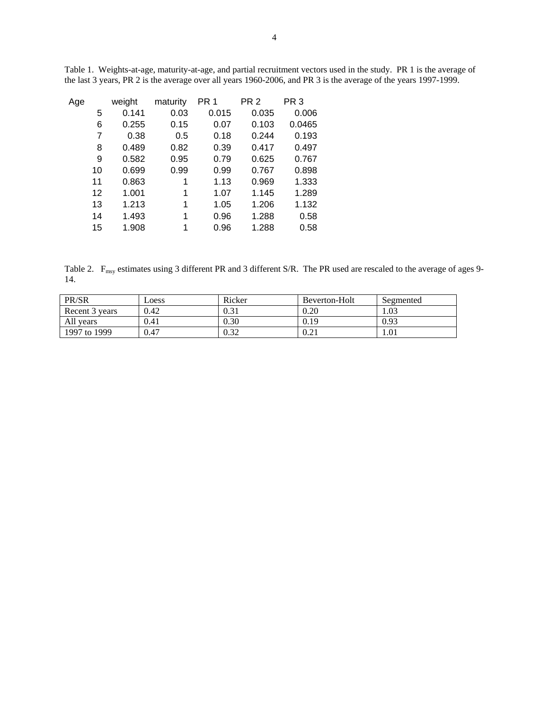| Age |    | weight | maturity | PR <sub>1</sub> | PR <sub>2</sub> | PR <sub>3</sub> |
|-----|----|--------|----------|-----------------|-----------------|-----------------|
|     | 5  | 0.141  | 0.03     | 0.015           | 0.035           | 0.006           |
|     | 6  | 0.255  | 0.15     | 0.07            | 0.103           | 0.0465          |
|     | 7  | 0.38   | 0.5      | 0.18            | 0.244           | 0.193           |
|     | 8  | 0.489  | 0.82     | 0.39            | 0.417           | 0.497           |
|     | 9  | 0.582  | 0.95     | 0.79            | 0.625           | 0.767           |
|     | 10 | 0.699  | 0.99     | 0.99            | 0.767           | 0.898           |
|     | 11 | 0.863  | 1        | 1.13            | 0.969           | 1.333           |
|     | 12 | 1.001  | 1        | 1.07            | 1.145           | 1.289           |
|     | 13 | 1.213  | 1        | 1.05            | 1.206           | 1.132           |
|     | 14 | 1.493  | 1        | 0.96            | 1.288           | 0.58            |
|     | 15 | 1.908  | 1        | 0.96            | 1.288           | 0.58            |
|     |    |        |          |                 |                 |                 |

Table 1. Weights-at-age, maturity-at-age, and partial recruitment vectors used in the study. PR 1 is the average of the last 3 years, PR 2 is the average over all years 1960-2006, and PR 3 is the average of the years 1997-1999.

Table 2. F<sub>msy</sub> estimates using 3 different PR and 3 different S/R. The PR used are rescaled to the average of ages 9-14.

| PR/SR          | Loess | Ricker                      | Beverton-Holt | Segmented |
|----------------|-------|-----------------------------|---------------|-----------|
| Recent 3 years | 0.42  | 0.31                        | 0.20          | 1.03      |
| All years      | 0.41  | 0.30                        | 0.19          | 0.93      |
| 1997 to 1999   | 0.47  | $\cdot$ 1.3 $\cdot$<br>0.JZ | 0.21          | 1.01      |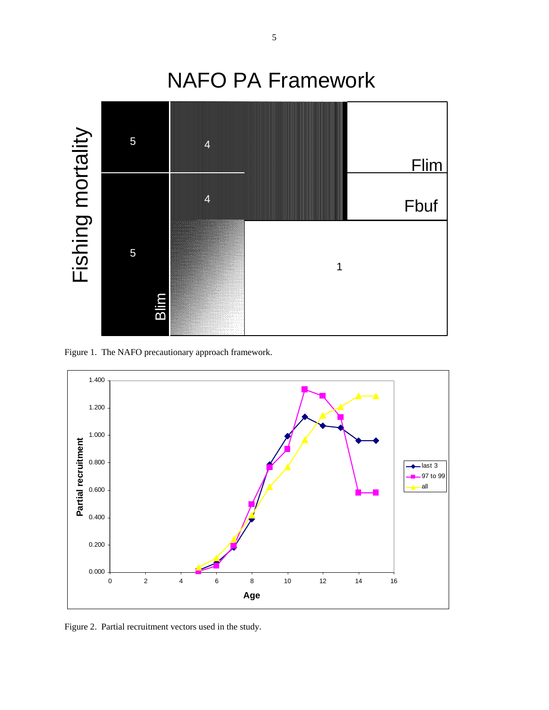

Figure 1. The NAFO precautionary approach framework.



Figure 2. Partial recruitment vectors used in the study.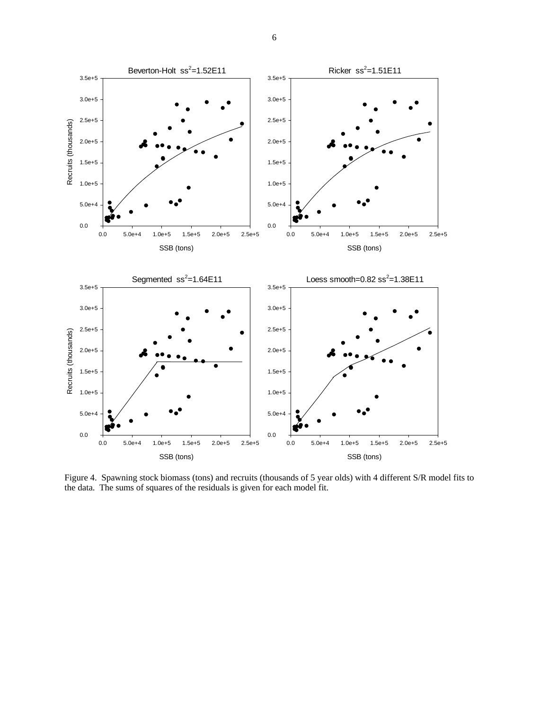



Figure 4. Spawning stock biomass (tons) and recruits (thousands of 5 year olds) with 4 different S/R model fits to the data. The sums of squares of the residuals is given for each model fit.